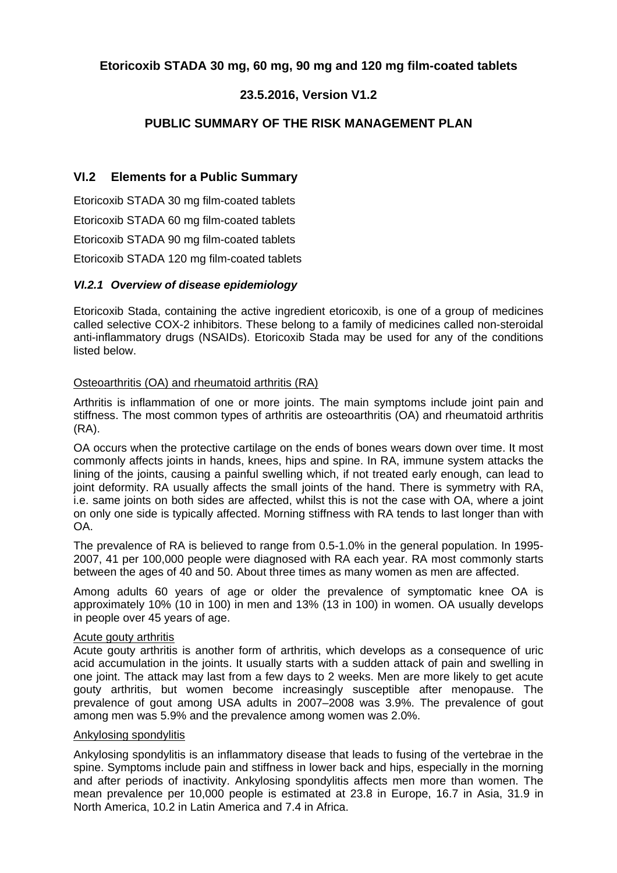# **Etoricoxib STADA 30 mg, 60 mg, 90 mg and 120 mg film-coated tablets**

# **23.5.2016, Version V1.2**

# **PUBLIC SUMMARY OF THE RISK MANAGEMENT PLAN**

## **VI.2 Elements for a Public Summary**

Etoricoxib STADA 30 mg film-coated tablets Etoricoxib STADA 60 mg film-coated tablets Etoricoxib STADA 90 mg film-coated tablets Etoricoxib STADA 120 mg film-coated tablets

## *VI.2.1 Overview of disease epidemiology*

Etoricoxib Stada, containing the active ingredient etoricoxib, is one of a group of medicines called selective COX-2 inhibitors. These belong to a family of medicines called non-steroidal anti-inflammatory drugs (NSAIDs). Etoricoxib Stada may be used for any of the conditions listed below.

#### Osteoarthritis (OA) and rheumatoid arthritis (RA)

Arthritis is inflammation of one or more joints. The main symptoms include joint pain and stiffness. The most common types of arthritis are osteoarthritis (OA) and rheumatoid arthritis (RA).

OA occurs when the protective cartilage on the ends of bones wears down over time. It most commonly affects joints in hands, knees, hips and spine. In RA, immune system attacks the lining of the joints, causing a painful swelling which, if not treated early enough, can lead to joint deformity. RA usually affects the small joints of the hand. There is symmetry with RA, i.e. same joints on both sides are affected, whilst this is not the case with OA, where a joint on only one side is typically affected. Morning stiffness with RA tends to last longer than with OA.

The prevalence of RA is believed to range from 0.5-1.0% in the general population. In 1995- 2007, 41 per 100,000 people were diagnosed with RA each year. RA most commonly starts between the ages of 40 and 50. About three times as many women as men are affected.

Among adults 60 years of age or older the prevalence of symptomatic knee OA is approximately 10% (10 in 100) in men and 13% (13 in 100) in women. OA usually develops in people over 45 years of age.

#### Acute gouty arthritis

Acute gouty arthritis is another form of arthritis, which develops as a consequence of uric acid accumulation in the joints. It usually starts with a sudden attack of pain and swelling in one joint. The attack may last from a few days to 2 weeks. Men are more likely to get acute gouty arthritis, but women become increasingly susceptible after menopause. The prevalence of gout among USA adults in 2007–2008 was 3.9%. The prevalence of gout among men was 5.9% and the prevalence among women was 2.0%.

#### Ankylosing spondylitis

Ankylosing spondylitis is an inflammatory disease that leads to fusing of the vertebrae in the spine. Symptoms include pain and stiffness in lower back and hips, especially in the morning and after periods of inactivity. Ankylosing spondylitis affects men more than women. The mean prevalence per 10,000 people is estimated at 23.8 in Europe, 16.7 in Asia, 31.9 in North America, 10.2 in Latin America and 7.4 in Africa.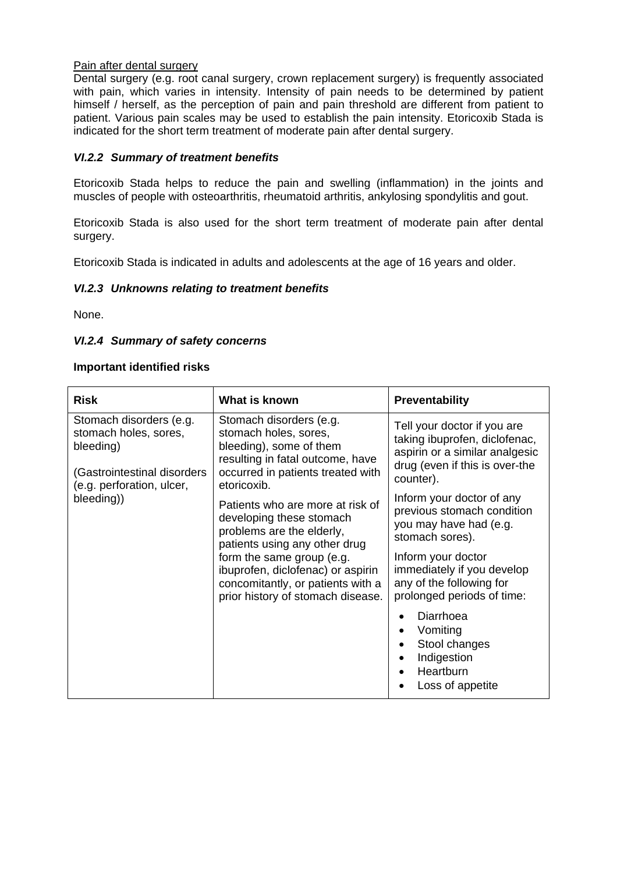#### Pain after dental surgery

Dental surgery (e.g. root canal surgery, crown replacement surgery) is frequently associated with pain, which varies in intensity. Intensity of pain needs to be determined by patient himself / herself, as the perception of pain and pain threshold are different from patient to patient. Various pain scales may be used to establish the pain intensity. Etoricoxib Stada is indicated for the short term treatment of moderate pain after dental surgery.

### *VI.2.2 Summary of treatment benefits*

Etoricoxib Stada helps to reduce the pain and swelling (inflammation) in the joints and muscles of people with osteoarthritis, rheumatoid arthritis, ankylosing spondylitis and gout.

Etoricoxib Stada is also used for the short term treatment of moderate pain after dental surgery.

Etoricoxib Stada is indicated in adults and adolescents at the age of 16 years and older.

#### *VI.2.3 Unknowns relating to treatment benefits*

None.

#### *VI.2.4 Summary of safety concerns*

#### **Important identified risks**

| <b>Risk</b>                                                                                                                             | What is known                                                                                                                                                                                                                                                          | <b>Preventability</b>                                                                                                                                                                                              |
|-----------------------------------------------------------------------------------------------------------------------------------------|------------------------------------------------------------------------------------------------------------------------------------------------------------------------------------------------------------------------------------------------------------------------|--------------------------------------------------------------------------------------------------------------------------------------------------------------------------------------------------------------------|
| Stomach disorders (e.g.<br>stomach holes, sores,<br>bleeding)<br>(Gastrointestinal disorders<br>(e.g. perforation, ulcer,<br>bleeding)) | Stomach disorders (e.g.<br>stomach holes, sores,<br>bleeding), some of them<br>resulting in fatal outcome, have<br>occurred in patients treated with<br>etoricoxib.                                                                                                    | Tell your doctor if you are<br>taking ibuprofen, diclofenac,<br>aspirin or a similar analgesic<br>drug (even if this is over-the<br>counter).                                                                      |
|                                                                                                                                         | Patients who are more at risk of<br>developing these stomach<br>problems are the elderly,<br>patients using any other drug<br>form the same group (e.g.<br>ibuprofen, diclofenac) or aspirin<br>concomitantly, or patients with a<br>prior history of stomach disease. | Inform your doctor of any<br>previous stomach condition<br>you may have had (e.g.<br>stomach sores).<br>Inform your doctor<br>immediately if you develop<br>any of the following for<br>prolonged periods of time: |
|                                                                                                                                         |                                                                                                                                                                                                                                                                        | Diarrhoea<br>Vomiting<br>Stool changes<br>Indigestion<br>Heartburn<br>Loss of appetite                                                                                                                             |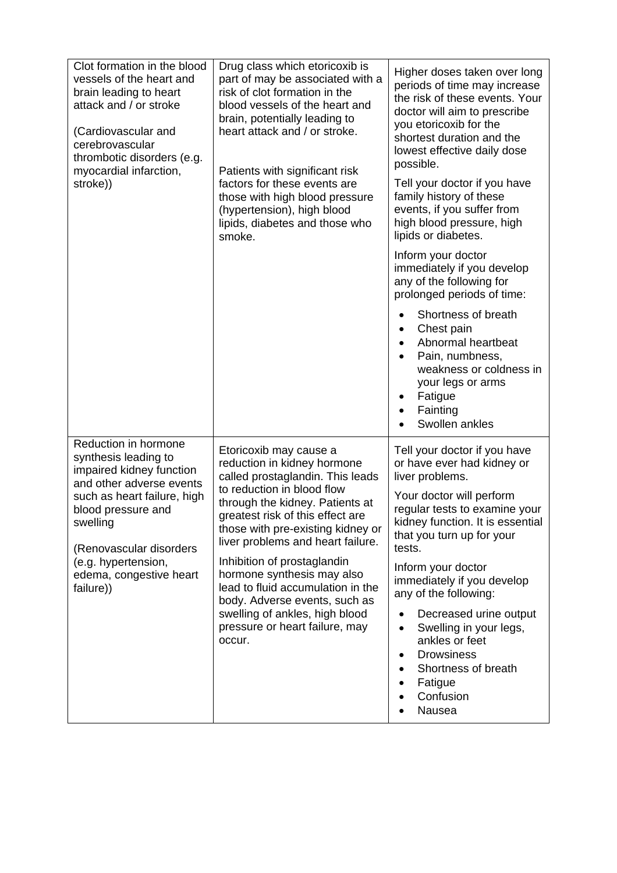| Clot formation in the blood<br>vessels of the heart and<br>brain leading to heart<br>attack and / or stroke<br>(Cardiovascular and<br>cerebrovascular<br>thrombotic disorders (e.g.<br>myocardial infarction,<br>stroke))                                       | Drug class which etoricoxib is<br>part of may be associated with a<br>risk of clot formation in the<br>blood vessels of the heart and<br>brain, potentially leading to<br>heart attack and / or stroke.<br>Patients with significant risk<br>factors for these events are<br>those with high blood pressure<br>(hypertension), high blood<br>lipids, diabetes and those who<br>smoke.                                                                                                     | Higher doses taken over long<br>periods of time may increase<br>the risk of these events. Your<br>doctor will aim to prescribe<br>you etoricoxib for the<br>shortest duration and the<br>lowest effective daily dose<br>possible.<br>Tell your doctor if you have<br>family history of these<br>events, if you suffer from<br>high blood pressure, high<br>lipids or diabetes.<br>Inform your doctor<br>immediately if you develop<br>any of the following for<br>prolonged periods of time:<br>Shortness of breath<br>Chest pain<br>Abnormal heartbeat<br>Pain, numbness,<br>weakness or coldness in<br>your legs or arms<br>Fatigue<br>Fainting<br>$\bullet$<br>Swollen ankles |
|-----------------------------------------------------------------------------------------------------------------------------------------------------------------------------------------------------------------------------------------------------------------|-------------------------------------------------------------------------------------------------------------------------------------------------------------------------------------------------------------------------------------------------------------------------------------------------------------------------------------------------------------------------------------------------------------------------------------------------------------------------------------------|----------------------------------------------------------------------------------------------------------------------------------------------------------------------------------------------------------------------------------------------------------------------------------------------------------------------------------------------------------------------------------------------------------------------------------------------------------------------------------------------------------------------------------------------------------------------------------------------------------------------------------------------------------------------------------|
| Reduction in hormone<br>synthesis leading to<br>impaired kidney function<br>and other adverse events<br>such as heart failure, high<br>blood pressure and<br>swelling<br>(Renovascular disorders<br>(e.g. hypertension,<br>edema, congestive heart<br>failure)) | Etoricoxib may cause a<br>reduction in kidney hormone<br>called prostaglandin. This leads<br>to reduction in blood flow<br>through the kidney. Patients at<br>greatest risk of this effect are<br>those with pre-existing kidney or<br>liver problems and heart failure.<br>Inhibition of prostaglandin<br>hormone synthesis may also<br>lead to fluid accumulation in the<br>body. Adverse events, such as<br>swelling of ankles, high blood<br>pressure or heart failure, may<br>occur. | Tell your doctor if you have<br>or have ever had kidney or<br>liver problems.<br>Your doctor will perform<br>regular tests to examine your<br>kidney function. It is essential<br>that you turn up for your<br>tests.<br>Inform your doctor<br>immediately if you develop<br>any of the following:<br>Decreased urine output<br>Swelling in your legs,<br>$\bullet$<br>ankles or feet<br><b>Drowsiness</b><br>$\bullet$<br>Shortness of breath<br>Fatigue<br>Confusion<br>Nausea                                                                                                                                                                                                 |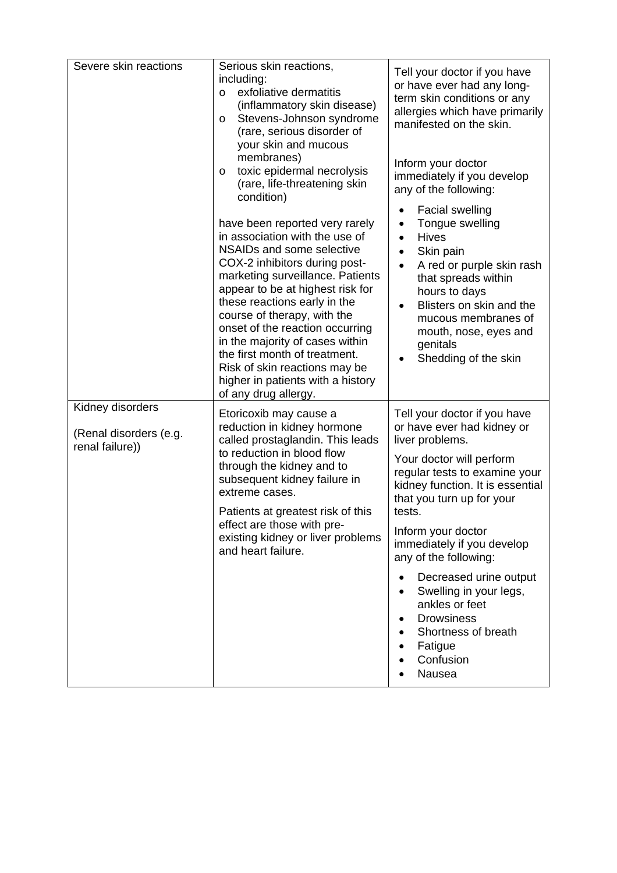| Severe skin reactions                                         | Serious skin reactions,<br>including:<br>exfoliative dermatitis<br>$\circ$<br>(inflammatory skin disease)<br>Stevens-Johnson syndrome<br>$\circ$<br>(rare, serious disorder of<br>your skin and mucous<br>membranes)<br>toxic epidermal necrolysis<br>$\circ$<br>(rare, life-threatening skin                                                                                                                                                                                            | Tell your doctor if you have<br>or have ever had any long-<br>term skin conditions or any<br>allergies which have primarily<br>manifested on the skin.<br>Inform your doctor<br>immediately if you develop<br>any of the following:                                                                                                                                      |
|---------------------------------------------------------------|------------------------------------------------------------------------------------------------------------------------------------------------------------------------------------------------------------------------------------------------------------------------------------------------------------------------------------------------------------------------------------------------------------------------------------------------------------------------------------------|--------------------------------------------------------------------------------------------------------------------------------------------------------------------------------------------------------------------------------------------------------------------------------------------------------------------------------------------------------------------------|
|                                                               | condition)<br>have been reported very rarely<br>in association with the use of<br>NSAIDs and some selective<br>COX-2 inhibitors during post-<br>marketing surveillance. Patients<br>appear to be at highest risk for<br>these reactions early in the<br>course of therapy, with the<br>onset of the reaction occurring<br>in the majority of cases within<br>the first month of treatment.<br>Risk of skin reactions may be<br>higher in patients with a history<br>of any drug allergy. | <b>Facial swelling</b><br>Tongue swelling<br><b>Hives</b><br>Skin pain<br>A red or purple skin rash<br>that spreads within<br>hours to days<br>Blisters on skin and the<br>mucous membranes of<br>mouth, nose, eyes and<br>genitals<br>Shedding of the skin                                                                                                              |
| Kidney disorders<br>(Renal disorders (e.g.<br>renal failure)) | Etoricoxib may cause a<br>reduction in kidney hormone<br>called prostaglandin. This leads<br>to reduction in blood flow<br>through the kidney and to<br>subsequent kidney failure in<br>extreme cases.<br>Patients at greatest risk of this<br>effect are those with pre-<br>existing kidney or liver problems<br>and heart failure.                                                                                                                                                     | Tell your doctor if you have<br>or have ever had kidney or<br>liver problems.<br>Your doctor will perform<br>regular tests to examine your<br>kidney function. It is essential<br>that you turn up for your<br>tests.<br>Inform your doctor<br>immediately if you develop<br>any of the following:<br>Decreased urine output<br>Swelling in your legs,<br>ankles or feet |
|                                                               |                                                                                                                                                                                                                                                                                                                                                                                                                                                                                          | <b>Drowsiness</b><br>Shortness of breath<br>Fatigue<br>Confusion<br>Nausea                                                                                                                                                                                                                                                                                               |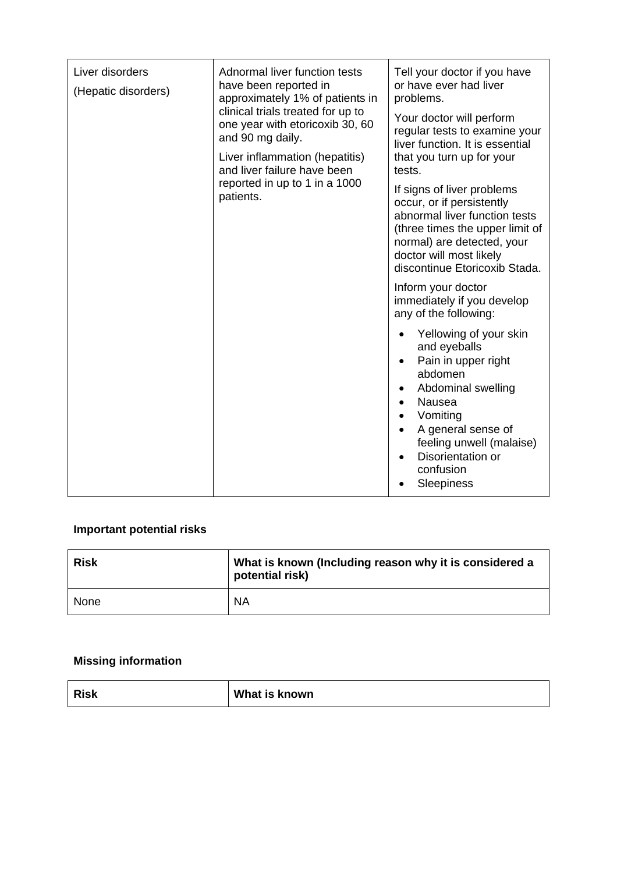| Liver disorders<br>(Hepatic disorders) | Adnormal liver function tests<br>have been reported in<br>approximately 1% of patients in                   | Tell your doctor if you have<br>or have ever had liver<br>problems.                                                                                                                                                    |
|----------------------------------------|-------------------------------------------------------------------------------------------------------------|------------------------------------------------------------------------------------------------------------------------------------------------------------------------------------------------------------------------|
|                                        | clinical trials treated for up to<br>one year with etoricoxib 30, 60<br>and 90 mg daily.                    | Your doctor will perform<br>regular tests to examine your<br>liver function. It is essential                                                                                                                           |
|                                        | Liver inflammation (hepatitis)<br>and liver failure have been<br>reported in up to 1 in a 1000<br>patients. | that you turn up for your<br>tests.                                                                                                                                                                                    |
|                                        |                                                                                                             | If signs of liver problems<br>occur, or if persistently<br>abnormal liver function tests<br>(three times the upper limit of<br>normal) are detected, your<br>doctor will most likely<br>discontinue Etoricoxib Stada.  |
|                                        |                                                                                                             | Inform your doctor<br>immediately if you develop<br>any of the following:                                                                                                                                              |
|                                        |                                                                                                             | Yellowing of your skin<br>and eyeballs<br>Pain in upper right<br>abdomen<br>Abdominal swelling<br>Nausea<br>Vomiting<br>A general sense of<br>feeling unwell (malaise)<br>Disorientation or<br>confusion<br>Sleepiness |

# **Important potential risks**

| <b>Risk</b> | What is known (Including reason why it is considered a<br>potential risk) |
|-------------|---------------------------------------------------------------------------|
| None        | <b>NA</b>                                                                 |

# **Missing information**

| What is known<br><b>Risk</b> |  |
|------------------------------|--|
|------------------------------|--|